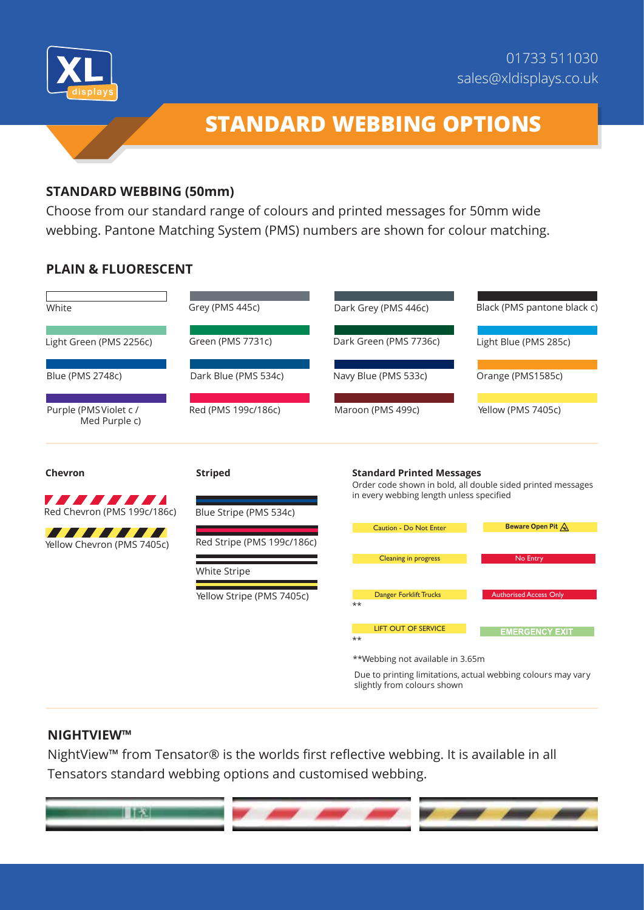



# **STANDARD WEBBING OPTIONS**

## **STANDARD WEBBING (50mm)**

Choose from our standard range of colours and printed messages for 50mm wide webbing. Pantone Matching System (PMS) numbers are shown for colour matching.

## **PLAIN & FLUORESCENT**

| White                                  | Grey (PMS 445c)            | Dark Grey (PMS 446c)                      | Black (PMS pantone black c)                                  |
|----------------------------------------|----------------------------|-------------------------------------------|--------------------------------------------------------------|
| Light Green (PMS 2256c)                | Green (PMS 7731c)          | Dark Green (PMS 7736c)                    | Light Blue (PMS 285c)                                        |
| Blue (PMS 2748c)                       | Dark Blue (PMS 534c)       | Navy Blue (PMS 533c)                      | Orange (PMS1585c)                                            |
| Purple (PMSViolet c /<br>Med Purple c) | Red (PMS 199c/186c)        | Maroon (PMS 499c)                         | Yellow (PMS 7405c)                                           |
| Chevron                                | <b>Striped</b>             | <b>Standard Printed Messages</b>          | Order code shown in bold, all double sided printed messages  |
| Red Chevron (PMS 199c/186c)            | Blue Stripe (PMS 534c)     | in every webbing length unless specified  |                                                              |
| Yellow Chevron (PMS 7405c)             | Red Stripe (PMS 199c/186c) | Caution - Do Not Enter                    | Beware Open Pit A                                            |
|                                        | White Stripe               | Cleaning in progress                      | No Entry                                                     |
|                                        | Yellow Stripe (PMS 7405c)  | Danger Forklift Trucks<br>$^{\star\star}$ | <b>Authorised Access Only</b>                                |
|                                        |                            | <b>LIFT OUT OF SERVICE</b><br>$***$       | <b>EMERGENCY EXIT</b>                                        |
|                                        |                            | **Webbing not available in 3.65m          |                                                              |
|                                        |                            | slightly from colours shown               | Due to printing limitations, actual webbing colours may vary |

#### **NIGHTVIEW™**

NightView™ from Tensator® is the worlds first reflective webbing. It is available in all Tensators standard webbing options and customised webbing.